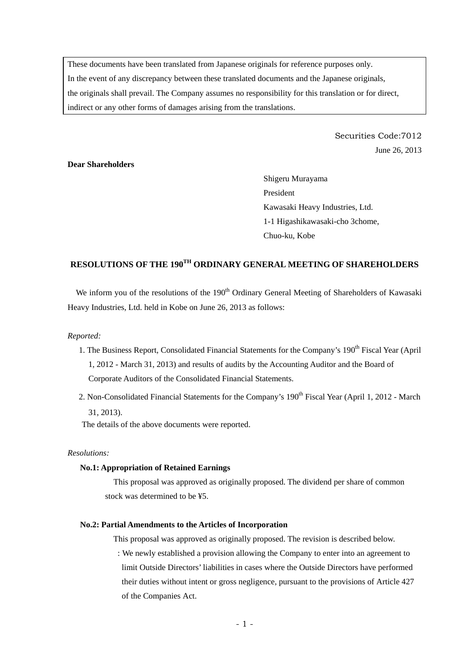These documents have been translated from Japanese originals for reference purposes only. In the event of any discrepancy between these translated documents and the Japanese originals, the originals shall prevail. The Company assumes no responsibility for this translation or for direct, indirect or any other forms of damages arising from the translations.

> Securities Code:7012 June 26, 2013

# **Dear Shareholders**

Shigeru Murayama President Kawasaki Heavy Industries, Ltd. 1-1 Higashikawasaki-cho 3chome, Chuo-ku, Kobe

# **RESOLUTIONS OF THE 190TH ORDINARY GENERAL MEETING OF SHAREHOLDERS**

We inform you of the resolutions of the 190<sup>th</sup> Ordinary General Meeting of Shareholders of Kawasaki Heavy Industries, Ltd. held in Kobe on June 26, 2013 as follows:

## *Reported:*

- 1. The Business Report, Consolidated Financial Statements for the Company's 190<sup>th</sup> Fiscal Year (April 1, 2012 - March 31, 2013) and results of audits by the Accounting Auditor and the Board of Corporate Auditors of the Consolidated Financial Statements.
- 2. Non-Consolidated Financial Statements for the Company's 190<sup>th</sup> Fiscal Year (April 1, 2012 March 31, 2013).

The details of the above documents were reported.

## *Resolutions:*

#### **No.1: Appropriation of Retained Earnings**

This proposal was approved as originally proposed. The dividend per share of common stock was determined to be ¥5.

## **No.2: Partial Amendments to the Articles of Incorporation**

This proposal was approved as originally proposed. The revision is described below.

 : We newly established a provision allowing the Company to enter into an agreement to limit Outside Directors' liabilities in cases where the Outside Directors have performed their duties without intent or gross negligence, pursuant to the provisions of Article 427 of the Companies Act.